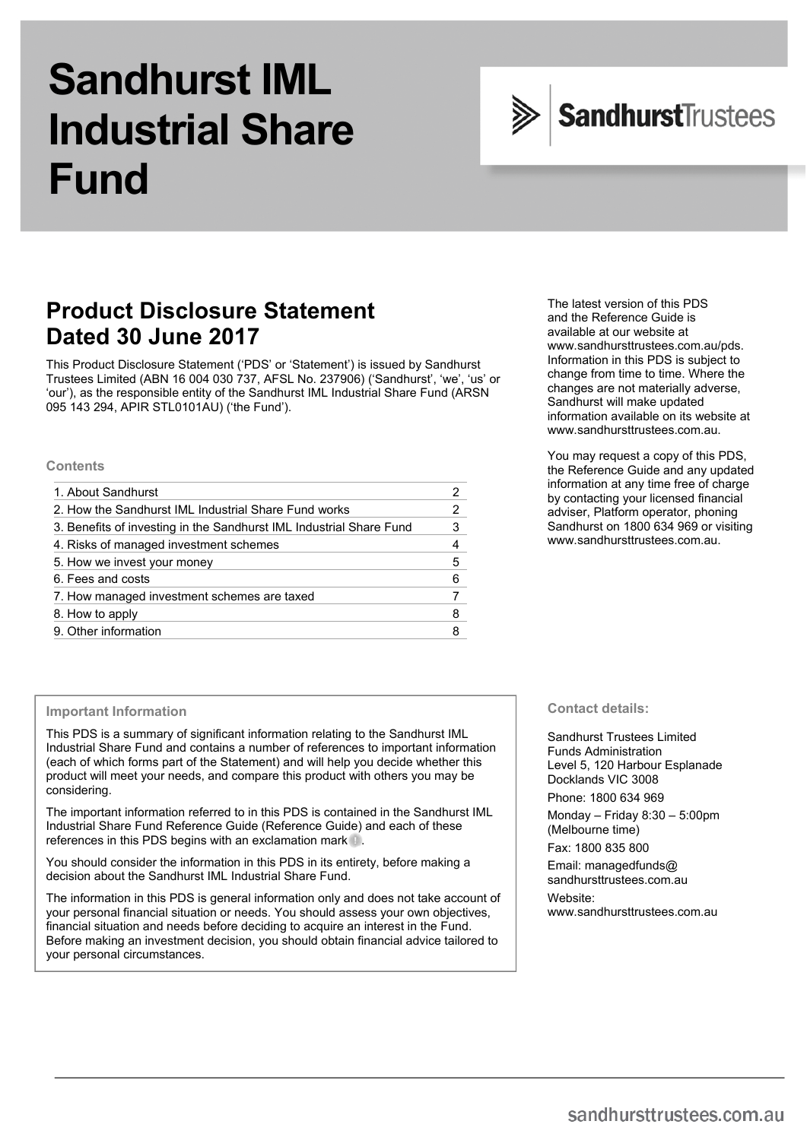# **Sandhurst IML Industrial Share Fund**



# **Product Disclosure Statement Dated 30 June 2017**

This Product Disclosure Statement ('PDS' or 'Statement') is issued by Sandhurst Trustees Limited (ABN 16 004 030 737, AFSL No. 237906) ('Sandhurst', 'we', 'us' or 'our'), as the responsible entity of the Sandhurst IML Industrial Share Fund (ARSN 095 143 294, APIR STL0101AU) ('the Fund').

#### **Contents**

| 1. About Sandhurst                                                  |   |
|---------------------------------------------------------------------|---|
| 2. How the Sandhurst IML Industrial Share Fund works                | 2 |
| 3. Benefits of investing in the Sandhurst IML Industrial Share Fund | 3 |
| 4. Risks of managed investment schemes                              | 4 |
| 5. How we invest your money                                         | 5 |
| 6. Fees and costs                                                   | 6 |
| 7. How managed investment schemes are taxed                         |   |
| 8. How to apply                                                     | 8 |
| 9. Other information                                                | 8 |
|                                                                     |   |

#### The latest version of this PDS and the Reference Guide is available at our website at www.sandhursttrustees.com.au/pds. Information in this PDS is subject to change from time to time. Where the changes are not materially adverse, Sandhurst will make updated information available on its website at www.sandhursttrustees.com.au.

You may request a copy of this PDS, the Reference Guide and any updated information at any time free of charge by contacting your licensed financial adviser, Platform operator, phoning Sandhurst on 1800 634 969 or visiting www.sandhursttrustees.com.au.

#### **Important Information**

This PDS is a summary of significant information relating to the Sandhurst IML Industrial Share Fund and contains a number of references to important information (each of which forms part of the Statement) and will help you decide whether this product will meet your needs, and compare this product with others you may be considering.

The important information referred to in this PDS is contained in the Sandhurst IML Industrial Share Fund Reference Guide (Reference Guide) and each of these references in this PDS begins with an exclamation mark  $\mathbf{u}$ .

You should consider the information in this PDS in its entirety, before making a decision about the Sandhurst IML Industrial Share Fund.

The information in this PDS is general information only and does not take account of your personal financial situation or needs. You should assess your own objectives, financial situation and needs before deciding to acquire an interest in the Fund. Before making an investment decision, you should obtain financial advice tailored to your personal circumstances.

**Contact details:** 

Sandhurst Trustees Limited Funds Administration Level 5, 120 Harbour Esplanade Docklands VIC 3008

Phone: 1800 634 969

Monday – Friday 8:30 – 5:00pm (Melbourne time) Fax: 1800 835 800

Email: managedfunds@ sandhursttrustees.com.au

Website: www.sandhursttrustees.com.au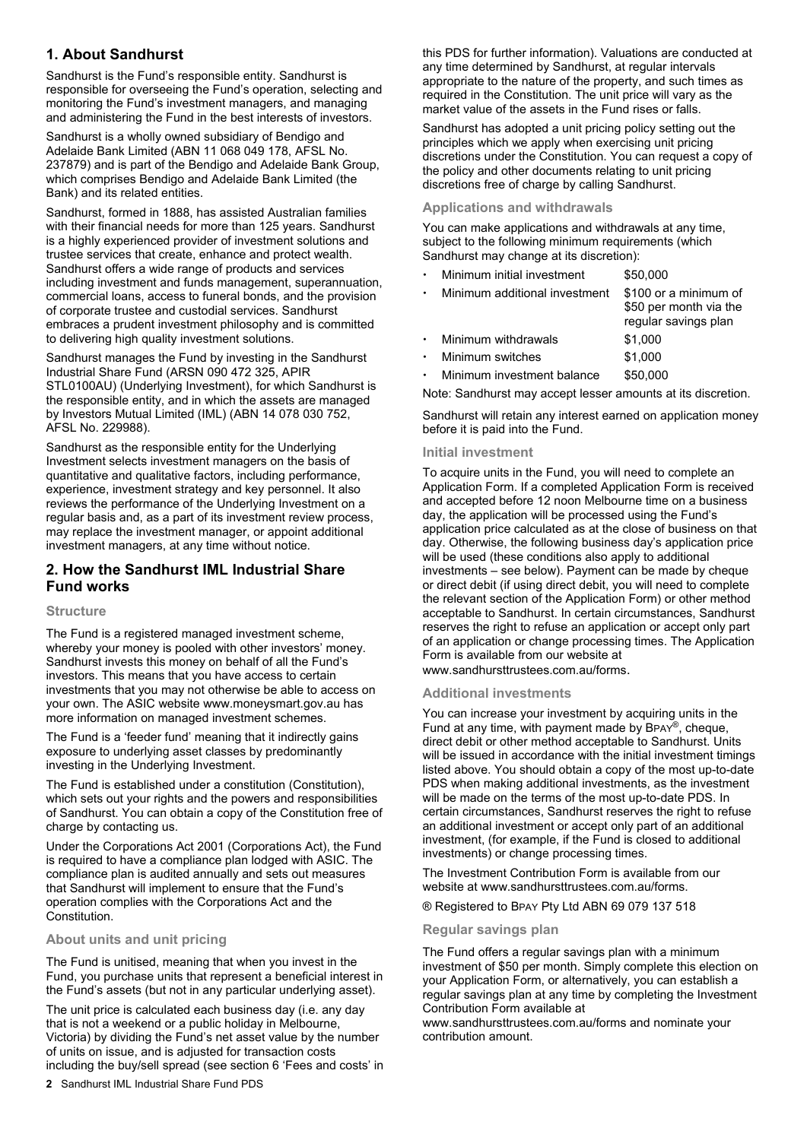# **1. About Sandhurst**

Sandhurst is the Fund's responsible entity. Sandhurst is responsible for overseeing the Fund's operation, selecting and monitoring the Fund's investment managers, and managing and administering the Fund in the best interests of investors.

Sandhurst is a wholly owned subsidiary of Bendigo and Adelaide Bank Limited (ABN 11 068 049 178, AFSL No. 237879) and is part of the Bendigo and Adelaide Bank Group, which comprises Bendigo and Adelaide Bank Limited (the Bank) and its related entities.

Sandhurst, formed in 1888, has assisted Australian families with their financial needs for more than 125 years. Sandhurst is a highly experienced provider of investment solutions and trustee services that create, enhance and protect wealth. Sandhurst offers a wide range of products and services including investment and funds management, superannuation, commercial loans, access to funeral bonds, and the provision of corporate trustee and custodial services. Sandhurst embraces a prudent investment philosophy and is committed to delivering high quality investment solutions.

Sandhurst manages the Fund by investing in the Sandhurst Industrial Share Fund (ARSN 090 472 325, APIR STL0100AU) (Underlying Investment), for which Sandhurst is the responsible entity, and in which the assets are managed by Investors Mutual Limited (IML) (ABN 14 078 030 752, AFSL No. 229988).

Sandhurst as the responsible entity for the Underlying Investment selects investment managers on the basis of quantitative and qualitative factors, including performance, experience, investment strategy and key personnel. It also reviews the performance of the Underlying Investment on a regular basis and, as a part of its investment review process, may replace the investment manager, or appoint additional investment managers, at any time without notice.

# **2. How the Sandhurst IML Industrial Share Fund works**

#### **Structure**

The Fund is a registered managed investment scheme, whereby your money is pooled with other investors' money. Sandhurst invests this money on behalf of all the Fund's investors. This means that you have access to certain investments that you may not otherwise be able to access on your own. The ASIC website www.moneysmart.gov.au has more information on managed investment schemes.

The Fund is a 'feeder fund' meaning that it indirectly gains exposure to underlying asset classes by predominantly investing in the Underlying Investment.

The Fund is established under a constitution (Constitution), which sets out your rights and the powers and responsibilities of Sandhurst. You can obtain a copy of the Constitution free of charge by contacting us.

Under the Corporations Act 2001 (Corporations Act), the Fund is required to have a compliance plan lodged with ASIC. The compliance plan is audited annually and sets out measures that Sandhurst will implement to ensure that the Fund's operation complies with the Corporations Act and the Constitution.

#### **About units and unit pricing**

The Fund is unitised, meaning that when you invest in the Fund, you purchase units that represent a beneficial interest in the Fund's assets (but not in any particular underlying asset).

The unit price is calculated each business day (i.e. any day that is not a weekend or a public holiday in Melbourne, Victoria) by dividing the Fund's net asset value by the number of units on issue, and is adjusted for transaction costs including the buy/sell spread (see section 6 'Fees and costs' in this PDS for further information). Valuations are conducted at any time determined by Sandhurst, at regular intervals appropriate to the nature of the property, and such times as required in the Constitution. The unit price will vary as the market value of the assets in the Fund rises or falls.

Sandhurst has adopted a unit pricing policy setting out the principles which we apply when exercising unit pricing discretions under the Constitution. You can request a copy of the policy and other documents relating to unit pricing discretions free of charge by calling Sandhurst.

#### **Applications and withdrawals**

You can make applications and withdrawals at any time, subject to the following minimum requirements (which Sandhurst may change at its discretion):

| Minimum initial investment    | \$50,000                                                                |
|-------------------------------|-------------------------------------------------------------------------|
| Minimum additional investment | \$100 or a minimum of<br>\$50 per month via the<br>regular savings plan |
| Minimum withdrawals           | \$1,000                                                                 |
| Minimum switches              | \$1,000                                                                 |
| Minimum investment balance    | \$50,000                                                                |
|                               |                                                                         |

Note: Sandhurst may accept lesser amounts at its discretion.

Sandhurst will retain any interest earned on application money before it is paid into the Fund.

#### **Initial investment**

To acquire units in the Fund, you will need to complete an Application Form. If a completed Application Form is received and accepted before 12 noon Melbourne time on a business day, the application will be processed using the Fund's application price calculated as at the close of business on that day. Otherwise, the following business day's application price will be used (these conditions also apply to additional investments – see below). Payment can be made by cheque or direct debit (if using direct debit, you will need to complete the relevant section of the Application Form) or other method acceptable to Sandhurst. In certain circumstances, Sandhurst reserves the right to refuse an application or accept only part of an application or change processing times. The Application Form is available from our website at

www.sandhursttrustees.com.au/forms.

#### **Additional investments**

You can increase your investment by acquiring units in the Fund at any time, with payment made by BPAY®, cheque, direct debit or other method acceptable to Sandhurst. Units will be issued in accordance with the initial investment timings listed above. You should obtain a copy of the most up-to-date PDS when making additional investments, as the investment will be made on the terms of the most up-to-date PDS. In certain circumstances, Sandhurst reserves the right to refuse an additional investment or accept only part of an additional investment, (for example, if the Fund is closed to additional investments) or change processing times.

The Investment Contribution Form is available from our website at www.sandhursttrustees.com.au/forms.

® Registered to BPAY Pty Ltd ABN 69 079 137 518

#### **Regular savings plan**

The Fund offers a regular savings plan with a minimum investment of \$50 per month. Simply complete this election on your Application Form, or alternatively, you can establish a regular savings plan at any time by completing the Investment Contribution Form available at

www.sandhursttrustees.com.au/forms and nominate your contribution amount.

**2** Sandhurst IML Industrial Share Fund PDS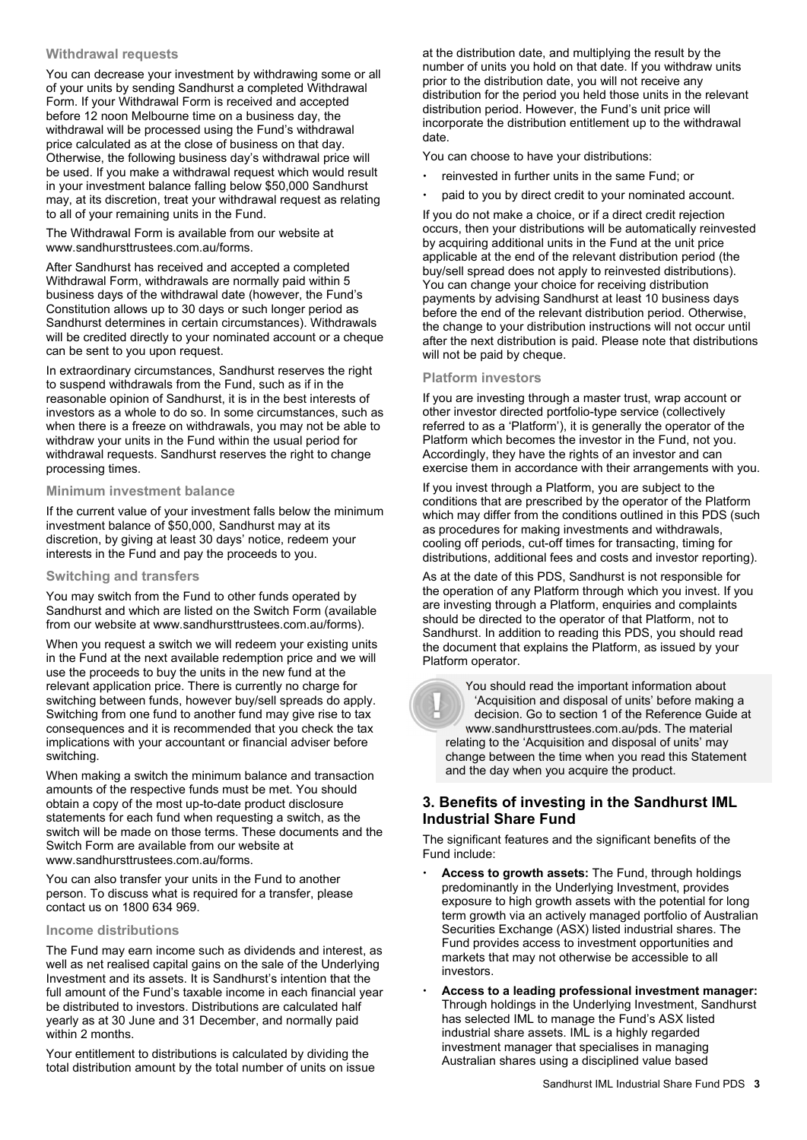#### **Withdrawal requests**

You can decrease your investment by withdrawing some or all of your units by sending Sandhurst a completed Withdrawal Form. If your Withdrawal Form is received and accepted before 12 noon Melbourne time on a business day, the withdrawal will be processed using the Fund's withdrawal price calculated as at the close of business on that day. Otherwise, the following business day's withdrawal price will be used. If you make a withdrawal request which would result in your investment balance falling below \$50,000 Sandhurst may, at its discretion, treat your withdrawal request as relating to all of your remaining units in the Fund.

The Withdrawal Form is available from our website at www.sandhursttrustees.com.au/forms.

After Sandhurst has received and accepted a completed Withdrawal Form, withdrawals are normally paid within 5 business days of the withdrawal date (however, the Fund's Constitution allows up to 30 days or such longer period as Sandhurst determines in certain circumstances). Withdrawals will be credited directly to your nominated account or a cheque can be sent to you upon request.

In extraordinary circumstances, Sandhurst reserves the right to suspend withdrawals from the Fund, such as if in the reasonable opinion of Sandhurst, it is in the best interests of investors as a whole to do so. In some circumstances, such as when there is a freeze on withdrawals, you may not be able to withdraw your units in the Fund within the usual period for withdrawal requests. Sandhurst reserves the right to change processing times.

#### **Minimum investment balance**

If the current value of your investment falls below the minimum investment balance of \$50,000, Sandhurst may at its discretion, by giving at least 30 days' notice, redeem your interests in the Fund and pay the proceeds to you.

#### **Switching and transfers**

You may switch from the Fund to other funds operated by Sandhurst and which are listed on the Switch Form (available from our website at www.sandhursttrustees.com.au/forms).

When you request a switch we will redeem your existing units in the Fund at the next available redemption price and we will use the proceeds to buy the units in the new fund at the relevant application price. There is currently no charge for switching between funds, however buy/sell spreads do apply. Switching from one fund to another fund may give rise to tax consequences and it is recommended that you check the tax implications with your accountant or financial adviser before switching.

When making a switch the minimum balance and transaction amounts of the respective funds must be met. You should obtain a copy of the most up-to-date product disclosure statements for each fund when requesting a switch, as the switch will be made on those terms. These documents and the Switch Form are available from our website at www.sandhursttrustees.com.au/forms.

You can also transfer your units in the Fund to another person. To discuss what is required for a transfer, please contact us on 1800 634 969.

#### **Income distributions**

The Fund may earn income such as dividends and interest, as well as net realised capital gains on the sale of the Underlying Investment and its assets. It is Sandhurst's intention that the full amount of the Fund's taxable income in each financial year be distributed to investors. Distributions are calculated half yearly as at 30 June and 31 December, and normally paid within 2 months.

Your entitlement to distributions is calculated by dividing the total distribution amount by the total number of units on issue at the distribution date, and multiplying the result by the number of units you hold on that date. If you withdraw units prior to the distribution date, you will not receive any distribution for the period you held those units in the relevant distribution period. However, the Fund's unit price will incorporate the distribution entitlement up to the withdrawal date.

You can choose to have your distributions:

- reinvested in further units in the same Fund; or
- paid to you by direct credit to your nominated account.

If you do not make a choice, or if a direct credit rejection occurs, then your distributions will be automatically reinvested by acquiring additional units in the Fund at the unit price applicable at the end of the relevant distribution period (the buy/sell spread does not apply to reinvested distributions). You can change your choice for receiving distribution payments by advising Sandhurst at least 10 business days before the end of the relevant distribution period. Otherwise, the change to your distribution instructions will not occur until after the next distribution is paid. Please note that distributions will not be paid by cheque.

#### **Platform investors**

If you are investing through a master trust, wrap account or other investor directed portfolio-type service (collectively referred to as a 'Platform'), it is generally the operator of the Platform which becomes the investor in the Fund, not you. Accordingly, they have the rights of an investor and can exercise them in accordance with their arrangements with you.

If you invest through a Platform, you are subject to the conditions that are prescribed by the operator of the Platform which may differ from the conditions outlined in this PDS (such as procedures for making investments and withdrawals, cooling off periods, cut-off times for transacting, timing for distributions, additional fees and costs and investor reporting).

As at the date of this PDS, Sandhurst is not responsible for the operation of any Platform through which you invest. If you are investing through a Platform, enquiries and complaints should be directed to the operator of that Platform, not to Sandhurst. In addition to reading this PDS, you should read the document that explains the Platform, as issued by your Platform operator.



 You should read the important information about 'Acquisition and disposal of units' before making a decision. Go to section 1 of the Reference Guide at www.sandhursttrustees.com.au/pds. The material relating to the 'Acquisition and disposal of units' may change between the time when you read this Statement and the day when you acquire the product.

# **3. Benefits of investing in the Sandhurst IML Industrial Share Fund**

The significant features and the significant benefits of the Fund include:

- **Access to growth assets:** The Fund, through holdings predominantly in the Underlying Investment, provides exposure to high growth assets with the potential for long term growth via an actively managed portfolio of Australian Securities Exchange (ASX) listed industrial shares. The Fund provides access to investment opportunities and markets that may not otherwise be accessible to all investors.
- **Access to a leading professional investment manager:** Through holdings in the Underlying Investment, Sandhurst has selected IML to manage the Fund's ASX listed industrial share assets. IML is a highly regarded investment manager that specialises in managing Australian shares using a disciplined value based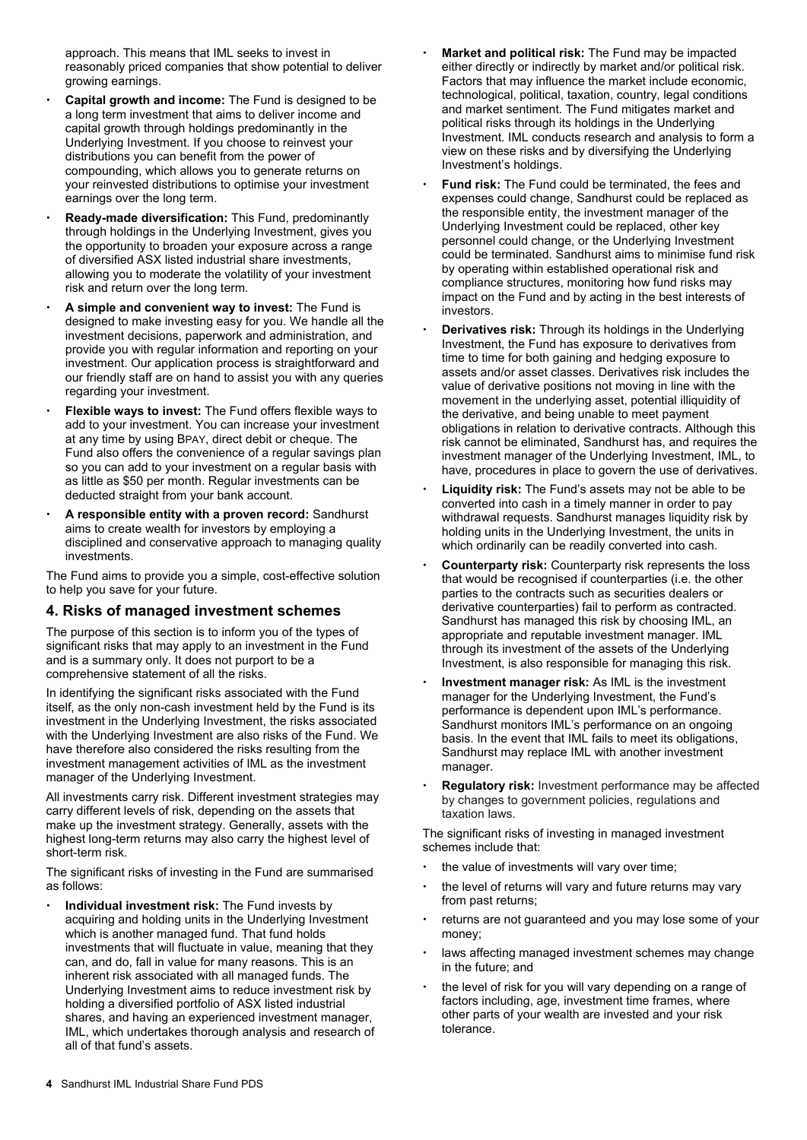approach. This means that IML seeks to invest in reasonably priced companies that show potential to deliver growing earnings.

- **Capital growth and income:** The Fund is designed to be a long term investment that aims to deliver income and capital growth through holdings predominantly in the Underlying Investment. If you choose to reinvest your distributions you can benefit from the power of compounding, which allows you to generate returns on your reinvested distributions to optimise your investment earnings over the long term.
- **Ready-made diversification:** This Fund, predominantly through holdings in the Underlying Investment, gives you the opportunity to broaden your exposure across a range of diversified ASX listed industrial share investments, allowing you to moderate the volatility of your investment risk and return over the long term.
- **A simple and convenient way to invest:** The Fund is designed to make investing easy for you. We handle all the investment decisions, paperwork and administration, and provide you with regular information and reporting on your investment. Our application process is straightforward and our friendly staff are on hand to assist you with any queries regarding your investment.
- **Flexible ways to invest:** The Fund offers flexible ways to add to your investment. You can increase your investment at any time by using BPAY, direct debit or cheque. The Fund also offers the convenience of a regular savings plan so you can add to your investment on a regular basis with as little as \$50 per month. Regular investments can be deducted straight from your bank account.
- **A responsible entity with a proven record:** Sandhurst aims to create wealth for investors by employing a disciplined and conservative approach to managing quality investments.

The Fund aims to provide you a simple, cost-effective solution to help you save for your future.

### **4. Risks of managed investment schemes**

The purpose of this section is to inform you of the types of significant risks that may apply to an investment in the Fund and is a summary only. It does not purport to be a comprehensive statement of all the risks.

In identifying the significant risks associated with the Fund itself, as the only non-cash investment held by the Fund is its investment in the Underlying Investment, the risks associated with the Underlying Investment are also risks of the Fund. We have therefore also considered the risks resulting from the investment management activities of IML as the investment manager of the Underlying Investment.

All investments carry risk. Different investment strategies may carry different levels of risk, depending on the assets that make up the investment strategy. Generally, assets with the highest long-term returns may also carry the highest level of short-term risk.

The significant risks of investing in the Fund are summarised as follows:

 **Individual investment risk:** The Fund invests by acquiring and holding units in the Underlying Investment which is another managed fund. That fund holds investments that will fluctuate in value, meaning that they can, and do, fall in value for many reasons. This is an inherent risk associated with all managed funds. The Underlying Investment aims to reduce investment risk by holding a diversified portfolio of ASX listed industrial shares, and having an experienced investment manager, IML, which undertakes thorough analysis and research of all of that fund's assets.

- **Market and political risk:** The Fund may be impacted either directly or indirectly by market and/or political risk. Factors that may influence the market include economic, technological, political, taxation, country, legal conditions and market sentiment. The Fund mitigates market and political risks through its holdings in the Underlying Investment. IML conducts research and analysis to form a view on these risks and by diversifying the Underlying Investment's holdings.
- **Fund risk:** The Fund could be terminated, the fees and expenses could change, Sandhurst could be replaced as the responsible entity, the investment manager of the Underlying Investment could be replaced, other key personnel could change, or the Underlying Investment could be terminated. Sandhurst aims to minimise fund risk by operating within established operational risk and compliance structures, monitoring how fund risks may impact on the Fund and by acting in the best interests of investors.
- **Derivatives risk:** Through its holdings in the Underlying Investment, the Fund has exposure to derivatives from time to time for both gaining and hedging exposure to assets and/or asset classes. Derivatives risk includes the value of derivative positions not moving in line with the movement in the underlying asset, potential illiquidity of the derivative, and being unable to meet payment obligations in relation to derivative contracts. Although this risk cannot be eliminated, Sandhurst has, and requires the investment manager of the Underlying Investment, IML, to have, procedures in place to govern the use of derivatives.
- **Liquidity risk:** The Fund's assets may not be able to be converted into cash in a timely manner in order to pay withdrawal requests. Sandhurst manages liquidity risk by holding units in the Underlying Investment, the units in which ordinarily can be readily converted into cash.
- **Counterparty risk:** Counterparty risk represents the loss that would be recognised if counterparties (i.e. the other parties to the contracts such as securities dealers or derivative counterparties) fail to perform as contracted. Sandhurst has managed this risk by choosing IML, an appropriate and reputable investment manager. IML through its investment of the assets of the Underlying Investment, is also responsible for managing this risk.
- **Investment manager risk:** As IML is the investment manager for the Underlying Investment, the Fund's performance is dependent upon IML's performance. Sandhurst monitors IML's performance on an ongoing basis. In the event that IML fails to meet its obligations, Sandhurst may replace IML with another investment manager.
- **Regulatory risk:** Investment performance may be affected by changes to government policies, regulations and taxation laws.

The significant risks of investing in managed investment schemes include that:

- the value of investments will vary over time;
- the level of returns will vary and future returns may vary from past returns;
- returns are not guaranteed and you may lose some of your money;
- laws affecting managed investment schemes may change in the future; and
- the level of risk for you will vary depending on a range of factors including, age, investment time frames, where other parts of your wealth are invested and your risk tolerance.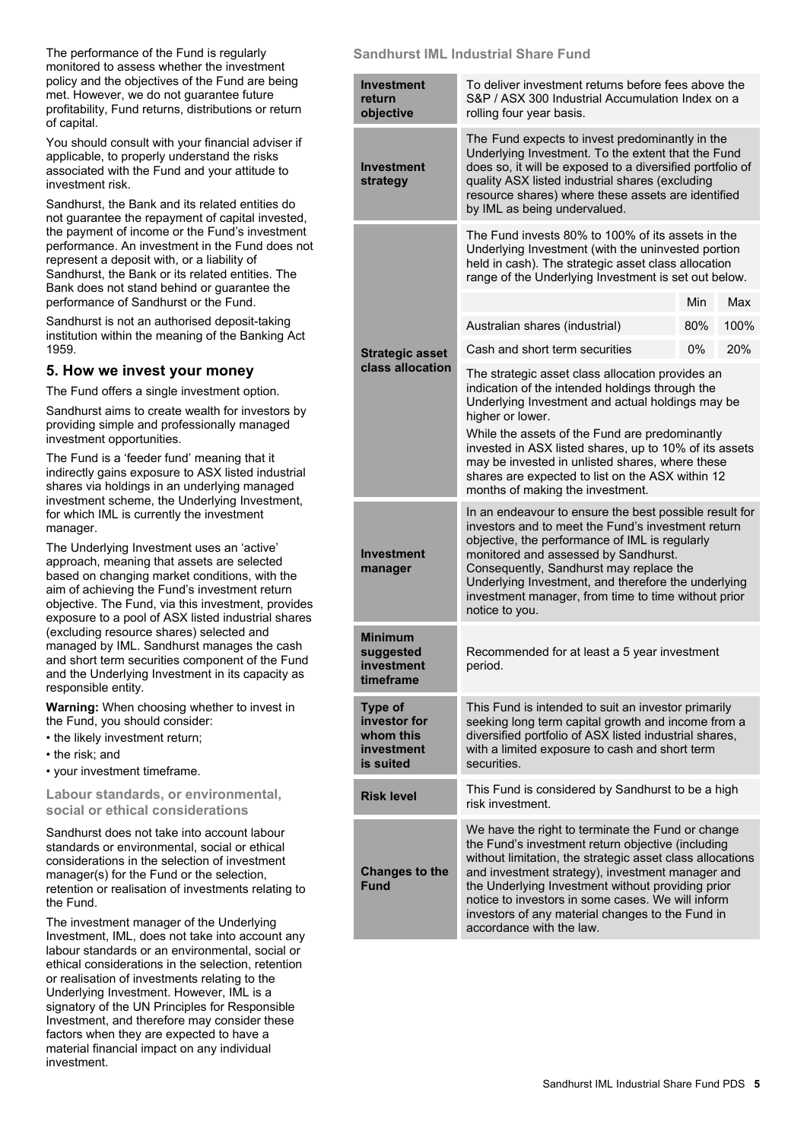The performance of the Fund is regularly monitored to assess whether the investment policy and the objectives of the Fund are being met. However, we do not guarantee future profitability, Fund returns, distributions or return of capital.

You should consult with your financial adviser if applicable, to properly understand the risks associated with the Fund and your attitude to investment risk.

Sandhurst, the Bank and its related entities do not guarantee the repayment of capital invested, the payment of income or the Fund's investment performance. An investment in the Fund does not represent a deposit with, or a liability of Sandhurst, the Bank or its related entities. The Bank does not stand behind or guarantee the performance of Sandhurst or the Fund.

Sandhurst is not an authorised deposit-taking institution within the meaning of the Banking Act 1959.

# **5. How we invest your money**

The Fund offers a single investment option.

Sandhurst aims to create wealth for investors by providing simple and professionally managed investment opportunities.

The Fund is a 'feeder fund' meaning that it indirectly gains exposure to ASX listed industrial shares via holdings in an underlying managed investment scheme, the Underlying Investment, for which IML is currently the investment manager.

The Underlying Investment uses an 'active' approach, meaning that assets are selected based on changing market conditions, with the aim of achieving the Fund's investment return objective. The Fund, via this investment, provides exposure to a pool of ASX listed industrial shares (excluding resource shares) selected and managed by IML. Sandhurst manages the cash and short term securities component of the Fund and the Underlying Investment in its capacity as responsible entity.

**Warning:** When choosing whether to invest in the Fund, you should consider:

- the likely investment return;
- the risk; and
- your investment timeframe.

**Labour standards, or environmental, social or ethical considerations** 

Sandhurst does not take into account labour standards or environmental, social or ethical considerations in the selection of investment manager(s) for the Fund or the selection, retention or realisation of investments relating to the Fund.

The investment manager of the Underlying Investment, IML, does not take into account any labour standards or an environmental, social or ethical considerations in the selection, retention or realisation of investments relating to the Underlying Investment. However, IML is a signatory of the UN Principles for Responsible Investment, and therefore may consider these factors when they are expected to have a material financial impact on any individual investment.

#### **Sandhurst IML Industrial Share Fund**

| <b>Investment</b><br>return<br>objective                               | To deliver investment returns before fees above the<br>S&P / ASX 300 Industrial Accumulation Index on a<br>rolling four year basis.                                                                                                                                                                                                                                                                               |     |      |
|------------------------------------------------------------------------|-------------------------------------------------------------------------------------------------------------------------------------------------------------------------------------------------------------------------------------------------------------------------------------------------------------------------------------------------------------------------------------------------------------------|-----|------|
| <b>Investment</b><br>strategy                                          | The Fund expects to invest predominantly in the<br>Underlying Investment. To the extent that the Fund<br>does so, it will be exposed to a diversified portfolio of<br>quality ASX listed industrial shares (excluding<br>resource shares) where these assets are identified<br>by IML as being undervalued.                                                                                                       |     |      |
|                                                                        | The Fund invests 80% to 100% of its assets in the<br>Underlying Investment (with the uninvested portion<br>held in cash). The strategic asset class allocation<br>range of the Underlying Investment is set out below.                                                                                                                                                                                            |     |      |
|                                                                        |                                                                                                                                                                                                                                                                                                                                                                                                                   | Min | Max  |
|                                                                        | Australian shares (industrial)                                                                                                                                                                                                                                                                                                                                                                                    | 80% | 100% |
| <b>Strategic asset</b>                                                 | Cash and short term securities                                                                                                                                                                                                                                                                                                                                                                                    | 0%  | 20%  |
| class allocation                                                       | The strategic asset class allocation provides an<br>indication of the intended holdings through the<br>Underlying Investment and actual holdings may be<br>higher or lower.                                                                                                                                                                                                                                       |     |      |
|                                                                        | While the assets of the Fund are predominantly<br>invested in ASX listed shares, up to 10% of its assets<br>may be invested in unlisted shares, where these<br>shares are expected to list on the ASX within 12<br>months of making the investment.                                                                                                                                                               |     |      |
| Investment<br>manager                                                  | In an endeavour to ensure the best possible result for<br>investors and to meet the Fund's investment return<br>objective, the performance of IML is regularly<br>monitored and assessed by Sandhurst.<br>Consequently, Sandhurst may replace the<br>Underlying Investment, and therefore the underlying<br>investment manager, from time to time without prior<br>notice to you.                                 |     |      |
| <b>Minimum</b><br>suggested<br>investment<br>timeframe                 | Recommended for at least a 5 year investment<br>period.                                                                                                                                                                                                                                                                                                                                                           |     |      |
| <b>Type of</b><br>investor for<br>whom this<br>investment<br>is suited | This Fund is intended to suit an investor primarily<br>seeking long term capital growth and income from a<br>diversified portfolio of ASX listed industrial shares,<br>with a limited exposure to cash and short term<br>securities.                                                                                                                                                                              |     |      |
| <b>Risk level</b>                                                      | This Fund is considered by Sandhurst to be a high<br>risk investment.                                                                                                                                                                                                                                                                                                                                             |     |      |
| <b>Changes to the</b><br><b>Fund</b>                                   | We have the right to terminate the Fund or change<br>the Fund's investment return objective (including<br>without limitation, the strategic asset class allocations<br>and investment strategy), investment manager and<br>the Underlying Investment without providing prior<br>notice to investors in some cases. We will inform<br>investors of any material changes to the Fund in<br>accordance with the law. |     |      |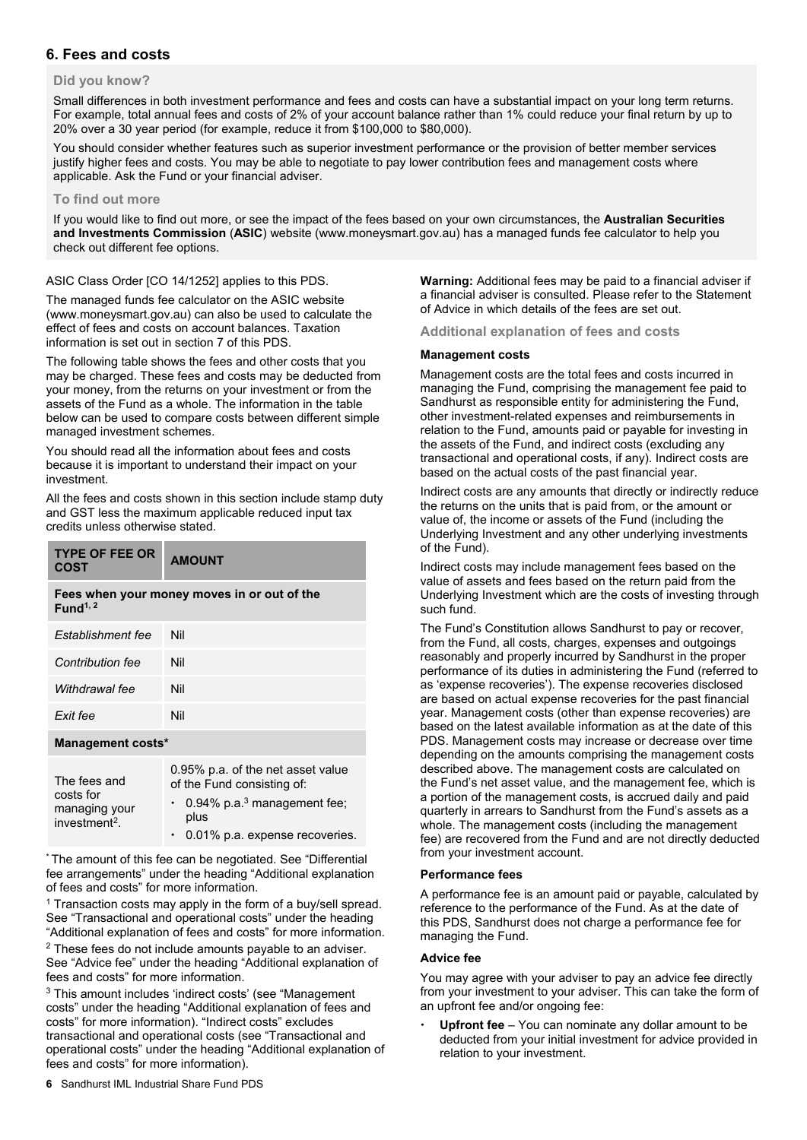# **6. Fees and costs**

#### **Did you know?**

Small differences in both investment performance and fees and costs can have a substantial impact on your long term returns. For example, total annual fees and costs of 2% of your account balance rather than 1% could reduce your final return by up to 20% over a 30 year period (for example, reduce it from \$100,000 to \$80,000).

You should consider whether features such as superior investment performance or the provision of better member services justify higher fees and costs. You may be able to negotiate to pay lower contribution fees and management costs where applicable. Ask the Fund or your financial adviser.

#### **To find out more**

If you would like to find out more, or see the impact of the fees based on your own circumstances, the **Australian Securities and Investments Commission** (**ASIC**) website (www.moneysmart.gov.au) has a managed funds fee calculator to help you check out different fee options.

ASIC Class Order [CO 14/1252] applies to this PDS.

The managed funds fee calculator on the ASIC website (www.moneysmart.gov.au) can also be used to calculate the effect of fees and costs on account balances. Taxation information is set out in section 7 of this PDS.

The following table shows the fees and other costs that you may be charged. These fees and costs may be deducted from your money, from the returns on your investment or from the assets of the Fund as a whole. The information in the table below can be used to compare costs between different simple managed investment schemes.

You should read all the information about fees and costs because it is important to understand their impact on your investment.

All the fees and costs shown in this section include stamp duty and GST less the maximum applicable reduced input tax credits unless otherwise stated.

| <b>TYPE OF FEE OR</b><br><b>COST</b>                                             | <b>AMOUNT</b> |  |
|----------------------------------------------------------------------------------|---------------|--|
| Fees when your money moves in or out of the<br>Fund <sup><math>1, 2</math></sup> |               |  |
| Establishment fee                                                                | Nil           |  |
| Contribution fee                                                                 | Nil           |  |
| Withdrawal fee                                                                   | Nil           |  |
| Exit fee                                                                         | Nil           |  |
| Management costs*                                                                |               |  |
|                                                                                  |               |  |

| The fees and                                            | 0.95% p.a. of the net asset value<br>of the Fund consisting of: |  |
|---------------------------------------------------------|-----------------------------------------------------------------|--|
| costs for<br>managing your<br>investment <sup>2</sup> . | $\cdot$ 0.94% p.a. <sup>3</sup> management fee;<br>plus         |  |
|                                                         | $\cdot$ 0.01% p.a. expense recoveries.                          |  |

\* The amount of this fee can be negotiated. See "Differential fee arrangements" under the heading "Additional explanation of fees and costs" for more information.

<sup>1</sup> Transaction costs may apply in the form of a buy/sell spread. See "Transactional and operational costs" under the heading "Additional explanation of fees and costs" for more information.

<sup>2</sup> These fees do not include amounts payable to an adviser. See "Advice fee" under the heading "Additional explanation of fees and costs" for more information.

3 This amount includes 'indirect costs' (see "Management costs" under the heading "Additional explanation of fees and costs" for more information). "Indirect costs" excludes transactional and operational costs (see "Transactional and operational costs" under the heading "Additional explanation of fees and costs" for more information).

**Warning:** Additional fees may be paid to a financial adviser if a financial adviser is consulted. Please refer to the Statement of Advice in which details of the fees are set out.

**Additional explanation of fees and costs** 

#### **Management costs**

Management costs are the total fees and costs incurred in managing the Fund, comprising the management fee paid to Sandhurst as responsible entity for administering the Fund, other investment-related expenses and reimbursements in relation to the Fund, amounts paid or payable for investing in the assets of the Fund, and indirect costs (excluding any transactional and operational costs, if any). Indirect costs are based on the actual costs of the past financial year.

Indirect costs are any amounts that directly or indirectly reduce the returns on the units that is paid from, or the amount or value of, the income or assets of the Fund (including the Underlying Investment and any other underlying investments of the Fund).

Indirect costs may include management fees based on the value of assets and fees based on the return paid from the Underlying Investment which are the costs of investing through such fund.

The Fund's Constitution allows Sandhurst to pay or recover, from the Fund, all costs, charges, expenses and outgoings reasonably and properly incurred by Sandhurst in the proper performance of its duties in administering the Fund (referred to as 'expense recoveries'). The expense recoveries disclosed are based on actual expense recoveries for the past financial year. Management costs (other than expense recoveries) are based on the latest available information as at the date of this PDS. Management costs may increase or decrease over time depending on the amounts comprising the management costs described above. The management costs are calculated on the Fund's net asset value, and the management fee, which is a portion of the management costs, is accrued daily and paid quarterly in arrears to Sandhurst from the Fund's assets as a whole. The management costs (including the management fee) are recovered from the Fund and are not directly deducted from your investment account.

#### **Performance fees**

A performance fee is an amount paid or payable, calculated by reference to the performance of the Fund. As at the date of this PDS, Sandhurst does not charge a performance fee for managing the Fund.

#### **Advice fee**

You may agree with your adviser to pay an advice fee directly from your investment to your adviser. This can take the form of an upfront fee and/or ongoing fee:

 **Upfront fee** – You can nominate any dollar amount to be deducted from your initial investment for advice provided in relation to your investment.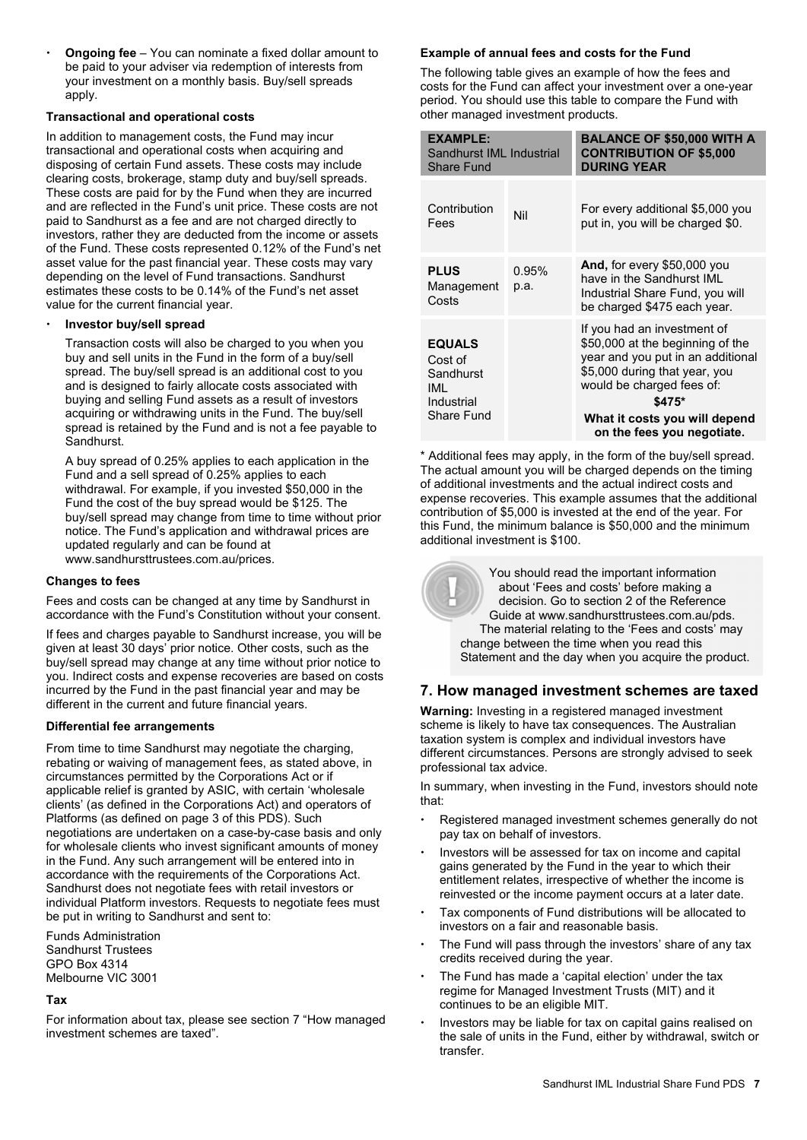**Ongoing fee** – You can nominate a fixed dollar amount to be paid to your adviser via redemption of interests from your investment on a monthly basis. Buy/sell spreads apply.

#### **Transactional and operational costs**

In addition to management costs, the Fund may incur transactional and operational costs when acquiring and disposing of certain Fund assets. These costs may include clearing costs, brokerage, stamp duty and buy/sell spreads. These costs are paid for by the Fund when they are incurred and are reflected in the Fund's unit price. These costs are not paid to Sandhurst as a fee and are not charged directly to investors, rather they are deducted from the income or assets of the Fund. These costs represented 0.12% of the Fund's net asset value for the past financial year. These costs may vary depending on the level of Fund transactions. Sandhurst estimates these costs to be 0.14% of the Fund's net asset value for the current financial year.

#### **Investor buy/sell spread**

Transaction costs will also be charged to you when you buy and sell units in the Fund in the form of a buy/sell spread. The buy/sell spread is an additional cost to you and is designed to fairly allocate costs associated with buying and selling Fund assets as a result of investors acquiring or withdrawing units in the Fund. The buy/sell spread is retained by the Fund and is not a fee payable to **Sandhurst.** 

A buy spread of 0.25% applies to each application in the Fund and a sell spread of 0.25% applies to each withdrawal. For example, if you invested \$50,000 in the Fund the cost of the buy spread would be \$125. The buy/sell spread may change from time to time without prior notice. The Fund's application and withdrawal prices are updated regularly and can be found at www.sandhursttrustees.com.au/prices.

#### **Changes to fees**

Fees and costs can be changed at any time by Sandhurst in accordance with the Fund's Constitution without your consent.

If fees and charges payable to Sandhurst increase, you will be given at least 30 days' prior notice. Other costs, such as the buy/sell spread may change at any time without prior notice to you. Indirect costs and expense recoveries are based on costs incurred by the Fund in the past financial year and may be different in the current and future financial years.

#### **Differential fee arrangements**

From time to time Sandhurst may negotiate the charging, rebating or waiving of management fees, as stated above, in circumstances permitted by the Corporations Act or if applicable relief is granted by ASIC, with certain 'wholesale clients' (as defined in the Corporations Act) and operators of Platforms (as defined on page 3 of this PDS). Such negotiations are undertaken on a case-by-case basis and only for wholesale clients who invest significant amounts of money in the Fund. Any such arrangement will be entered into in accordance with the requirements of the Corporations Act. Sandhurst does not negotiate fees with retail investors or individual Platform investors. Requests to negotiate fees must be put in writing to Sandhurst and sent to:

Funds Administration Sandhurst Trustees GPO Box 4314 Melbourne VIC 3001

#### **Tax**

For information about tax, please see section 7 "How managed investment schemes are taxed".

#### **Example of annual fees and costs for the Fund**

The following table gives an example of how the fees and costs for the Fund can affect your investment over a one-year period. You should use this table to compare the Fund with other managed investment products.

| Sandhurst IML Industrial | <b>BALANCE OF \$50,000 WITH A</b><br><b>CONTRIBUTION OF \$5,000</b><br><b>DURING YEAR</b>                                                                                                                                                   |
|--------------------------|---------------------------------------------------------------------------------------------------------------------------------------------------------------------------------------------------------------------------------------------|
| Nil                      | For every additional \$5,000 you<br>put in, you will be charged \$0.                                                                                                                                                                        |
| 0.95%<br>p.a.            | And, for every \$50,000 you<br>have in the Sandhurst IML<br>Industrial Share Fund, you will<br>be charged \$475 each year.                                                                                                                  |
|                          | If you had an investment of<br>\$50,000 at the beginning of the<br>year and you put in an additional<br>\$5,000 during that year, you<br>would be charged fees of:<br>\$475*<br>What it costs you will depend<br>on the fees you negotiate. |
|                          |                                                                                                                                                                                                                                             |

\* Additional fees may apply, in the form of the buy/sell spread. The actual amount you will be charged depends on the timing of additional investments and the actual indirect costs and expense recoveries. This example assumes that the additional contribution of \$5,000 is invested at the end of the year. For this Fund, the minimum balance is \$50,000 and the minimum additional investment is \$100.

> You should read the important information about 'Fees and costs' before making a decision. Go to section 2 of the Reference Guide at www.sandhursttrustees.com.au/pds. The material relating to the 'Fees and costs' may change between the time when you read this Statement and the day when you acquire the product.

#### **7. How managed investment schemes are taxed**

**Warning:** Investing in a registered managed investment scheme is likely to have tax consequences. The Australian taxation system is complex and individual investors have different circumstances. Persons are strongly advised to seek professional tax advice.

In summary, when investing in the Fund, investors should note that:

- Registered managed investment schemes generally do not pay tax on behalf of investors.
- Investors will be assessed for tax on income and capital gains generated by the Fund in the year to which their entitlement relates, irrespective of whether the income is reinvested or the income payment occurs at a later date.
- Tax components of Fund distributions will be allocated to investors on a fair and reasonable basis.
- $\cdot$  The Fund will pass through the investors' share of any tax credits received during the year.
- The Fund has made a 'capital election' under the tax regime for Managed Investment Trusts (MIT) and it continues to be an eligible MIT.
- Investors may be liable for tax on capital gains realised on the sale of units in the Fund, either by withdrawal, switch or transfer.